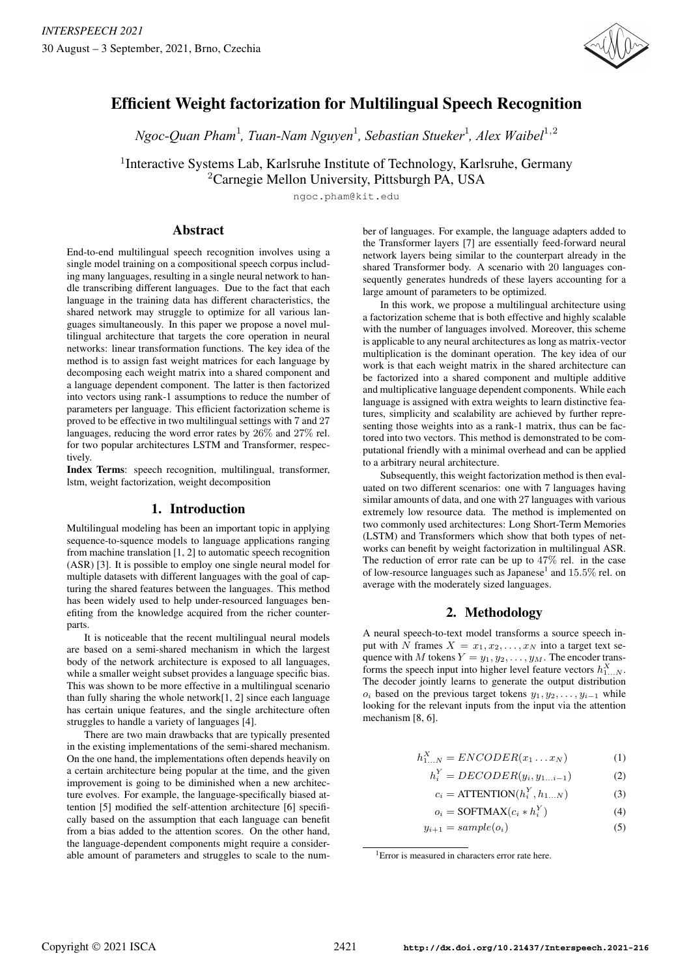

# Efficient Weight factorization for Multilingual Speech Recognition

1 1 1 1,2 *Ngoc-Quan Pham , Tuan-Nam Nguyen , Sebastian Stueker , Alex Waibel*

<sup>1</sup>Interactive Systems Lab, Karlsruhe Institute of Technology, Karlsruhe, Germany

<sup>2</sup>Carnegie Mellon University, Pittsburgh PA, USA

ngoc.pham@kit.edu

# Abstract

End-to-end multilingual speech recognition involves using a single model training on a compositional speech corpus including many languages, resulting in a single neural network to handle transcribing different languages. Due to the fact that each language in the training data has different characteristics, the shared network may struggle to optimize for all various languages simultaneously. In this paper we propose a novel multilingual architecture that targets the core operation in neural networks: linear transformation functions. The key idea of the method is to assign fast weight matrices for each language by decomposing each weight matrix into a shared component and a language dependent component. The latter is then factorized into vectors using rank-1 assumptions to reduce the number of parameters per language. This efficient factorization scheme is proved to be effective in two multilingual settings with 7 and 27 languages, reducing the word error rates by 26% and 27% rel. for two popular architectures LSTM and Transformer, respectively.

Index Terms: speech recognition, multilingual, transformer, lstm, weight factorization, weight decomposition

# 1. Introduction

Multilingual modeling has been an important topic in applying sequence-to-squence models to language applications ranging from machine translation [1, 2] to automatic speech recognition (ASR) [3]. It is possible to employ one single neural model for multiple datasets with different languages with the goal of capturing the shared features between the languages. This method has been widely used to help under-resourced languages benefiting from the knowledge acquired from the richer counterparts.

It is noticeable that the recent multilingual neural models are based on a semi-shared mechanism in which the largest body of the network architecture is exposed to all languages, while a smaller weight subset provides a language specific bias. This was shown to be more effective in a multilingual scenario than fully sharing the whole network[1, 2] since each language has certain unique features, and the single architecture often struggles to handle a variety of languages [4].

There are two main drawbacks that are typically presented in the existing implementations of the semi-shared mechanism. On the one hand, the implementations often depends heavily on a certain architecture being popular at the time, and the given improvement is going to be diminished when a new architecture evolves. For example, the language-specifically biased attention [5] modified the self-attention architecture [6] specifically based on the assumption that each language can benefit from a bias added to the attention scores. On the other hand, the language-dependent components might require a considerable amount of parameters and struggles to scale to the number of languages. For example, the language adapters added to the Transformer layers [7] are essentially feed-forward neural network layers being similar to the counterpart already in the shared Transformer body. A scenario with 20 languages consequently generates hundreds of these layers accounting for a large amount of parameters to be optimized.

In this work, we propose a multilingual architecture using a factorization scheme that is both effective and highly scalable with the number of languages involved. Moreover, this scheme is applicable to any neural architectures as long as matrix-vector multiplication is the dominant operation. The key idea of our work is that each weight matrix in the shared architecture can be factorized into a shared component and multiple additive and multiplicative language dependent components. While each language is assigned with extra weights to learn distinctive features, simplicity and scalability are achieved by further representing those weights into as a rank-1 matrix, thus can be factored into two vectors. This method is demonstrated to be computational friendly with a minimal overhead and can be applied to a arbitrary neural architecture.

Subsequently, this weight factorization method is then evaluated on two different scenarios: one with 7 languages having similar amounts of data, and one with 27 languages with various extremely low resource data. The method is implemented on two commonly used architectures: Long Short-Term Memories (LSTM) and Transformers which show that both types of networks can benefit by weight factorization in multilingual ASR. The reduction of error rate can be up to 47% rel. in the case of low-resource languages such as Japanese<sup>1</sup> and  $15.5\%$  rel. on average with the moderately sized languages.

# 2. Methodology

A neural speech-to-text model transforms a source speech input with N frames  $X = x_1, x_2, \dots, x_N$  into a target text sequence with M tokens  $Y = y_1, y_2, \dots, y_M$ . The encoder transforms the speech input into higher level feature vectors  $h_{1...N}^X$ . The decoder jointly learns to generate the output distribution  $o_i$  based on the previous target tokens  $y_1, y_2, \ldots, y_{i-1}$  while looking for the relevant inputs from the input via the attention mechanism [8, 6].

$$
h_{1...N}^X = ENCODER(x_1...x_N)
$$
 (1)

$$
h_i^Y = DECODER(y_i, y_{1...i-1})
$$
 (2)

$$
c_i = \text{ATTENTION}(h_i^Y, h_{1...N}) \tag{3}
$$

$$
o_i = \text{SOFTMAX}(c_i * h_i^Y) \tag{4}
$$

$$
y_{i+1} = sample(o_i)
$$
 (5)

<sup>&</sup>lt;sup>1</sup> Error is measured in characters error rate here.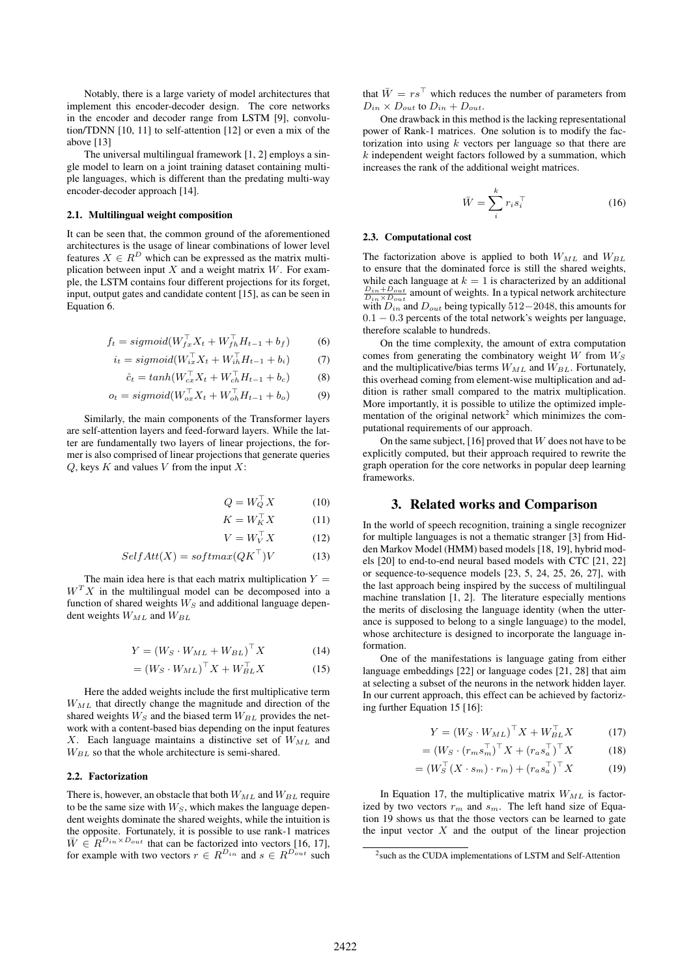Notably, there is a large variety of model architectures that implement this encoder-decoder design. The core networks in the encoder and decoder range from LSTM [9], convolution/TDNN [10, 11] to self-attention [12] or even a mix of the above [13]

The universal multilingual framework [1, 2] employs a single model to learn on a joint training dataset containing multiple languages, which is different than the predating multi-way encoder-decoder approach [14].

#### 2.1. Multilingual weight composition

It can be seen that, the common ground of the aforementioned architectures is the usage of linear combinations of lower level features  $X \in R^D$  which can be expressed as the matrix multiplication between input  $X$  and a weight matrix  $W$ . For example, the LSTM contains four different projections for its forget, input, output gates and candidate content [15], as can be seen in Equation 6.

$$
f_t = sigmoid(W_{fx}^\top X_t + W_{fh}^\top H_{t-1} + b_f)
$$
 (6)

$$
i_t = sigmoid(W_{ix}^\top X_t + W_{ih}^\top H_{t-1} + b_i)
$$
 (7)

$$
\hat{c}_t = \tanh(W_{cx}^\top X_t + W_{ch}^\top H_{t-1} + b_c) \tag{8}
$$

$$
o_t = sigmoid(W_{ox}^{\top}X_t + W_{oh}^{\top}H_{t-1} + b_o)
$$
\n(9)

Similarly, the main components of the Transformer layers are self-attention layers and feed-forward layers. While the latter are fundamentally two layers of linear projections, the former is also comprised of linear projections that generate queries  $Q$ , keys  $K$  and values  $V$  from the input  $X$ :

$$
= W_Q^\top X \tag{10}
$$

$$
K = W_K^\top X \tag{11}
$$

$$
V = W_V^\top X \tag{12}
$$

$$
SelfAtt(X) = softmax(QK^{\top})V \tag{13}
$$

 $Q$ 

The main idea here is that each matrix multiplication  $Y =$  $W<sup>T</sup>X$  in the multilingual model can be decomposed into a function of shared weights  $W_S$  and additional language dependent weights  $W_{ML}$  and  $W_{BL}$ 

$$
Y = (W_S \cdot W_{ML} + W_{BL})^\top X \tag{14}
$$

$$
= (W_S \cdot W_{ML})^\top X + W_{BL}^\top X \tag{15}
$$

Here the added weights include the first multiplicative term  $W_{ML}$  that directly change the magnitude and direction of the shared weights  $W_S$  and the biased term  $W_{BL}$  provides the network with a content-based bias depending on the input features  $X$ . Each language maintains a distinctive set of  $W_{ML}$  and  $W_{BL}$  so that the whole architecture is semi-shared.

#### 2.2. Factorization

There is, however, an obstacle that both  $W_{ML}$  and  $W_{BL}$  require to be the same size with  $W<sub>S</sub>$ , which makes the language dependent weights dominate the shared weights, while the intuition is the opposite. Fortunately, it is possible to use rank-1 matrices  $\overline{W} \in \mathbb{R}^{D_{in} \times D_{out}}$  that can be factorized into vectors [16, 17], for example with two vectors  $r \in R^{D_{in}}$  and  $s \in R^{D_{out}}$  such

that  $\overline{W} = rs^{\top}$  which reduces the number of parameters from  $D_{in} \times D_{out}$  to  $D_{in} + D_{out}$ .

One drawback in this method is the lacking representational power of Rank-1 matrices. One solution is to modify the factorization into using  $k$  vectors per language so that there are  $k$  independent weight factors followed by a summation, which increases the rank of the additional weight matrices.

$$
\bar{W} = \sum_{i}^{k} r_i s_i^{\top} \tag{16}
$$

#### 2.3. Computational cost

The factorization above is applied to both  $W_{ML}$  and  $W_{BL}$ to ensure that the dominated force is still the shared weights, while each language at  $k = 1$  is characterized by an additional  $\frac{D_{in} + D_{out}}{D_{in} \times D_{out}}$  amount of weights. In a typical network architecture with  $D_{in}$  and  $D_{out}$  being typically 512−2048, this amounts for 0.1 − 0.3 percents of the total network's weights per language, therefore scalable to hundreds.

On the time complexity, the amount of extra computation comes from generating the combinatory weight  $W$  from  $W_S$ and the multiplicative/bias terms  $W_{ML}$  and  $W_{BL}$ . Fortunately, this overhead coming from element-wise multiplication and addition is rather small compared to the matrix multiplication. More importantly, it is possible to utilize the optimized implementation of the original network<sup>2</sup> which minimizes the computational requirements of our approach.

On the same subject, [16] proved that  $W$  does not have to be explicitly computed, but their approach required to rewrite the graph operation for the core networks in popular deep learning frameworks.

### 3. Related works and Comparison

In the world of speech recognition, training a single recognizer for multiple languages is not a thematic stranger [3] from Hidden Markov Model (HMM) based models [18, 19], hybrid models [20] to end-to-end neural based models with CTC [21, 22] or sequence-to-sequence models [23, 5, 24, 25, 26, 27], with the last approach being inspired by the success of multilingual machine translation [1, 2]. The literature especially mentions the merits of disclosing the language identity (when the utterance is supposed to belong to a single language) to the model, whose architecture is designed to incorporate the language information.

One of the manifestations is language gating from either language embeddings [22] or language codes [21, 28] that aim at selecting a subset of the neurons in the network hidden layer. In our current approach, this effect can be achieved by factorizing further Equation 15 [16]:

$$
Y = (W_S \cdot W_{ML})^\top X + W_{BL}^\top X \tag{17}
$$

$$
= (W_S \cdot (r_m s_m^\top)^\top X + (r_a s_a^\top)^\top X \tag{18}
$$

$$
= (W_S^\top (X \cdot s_m) \cdot r_m) + (r_a s_a^\top)^\top X \tag{19}
$$

In Equation 17, the multiplicative matrix  $W_{ML}$  is factorized by two vectors  $r_m$  and  $s_m$ . The left hand size of Equation 19 shows us that the those vectors can be learned to gate the input vector  $X$  and the output of the linear projection

<sup>&</sup>lt;sup>2</sup> such as the CUDA implementations of LSTM and Self-Attention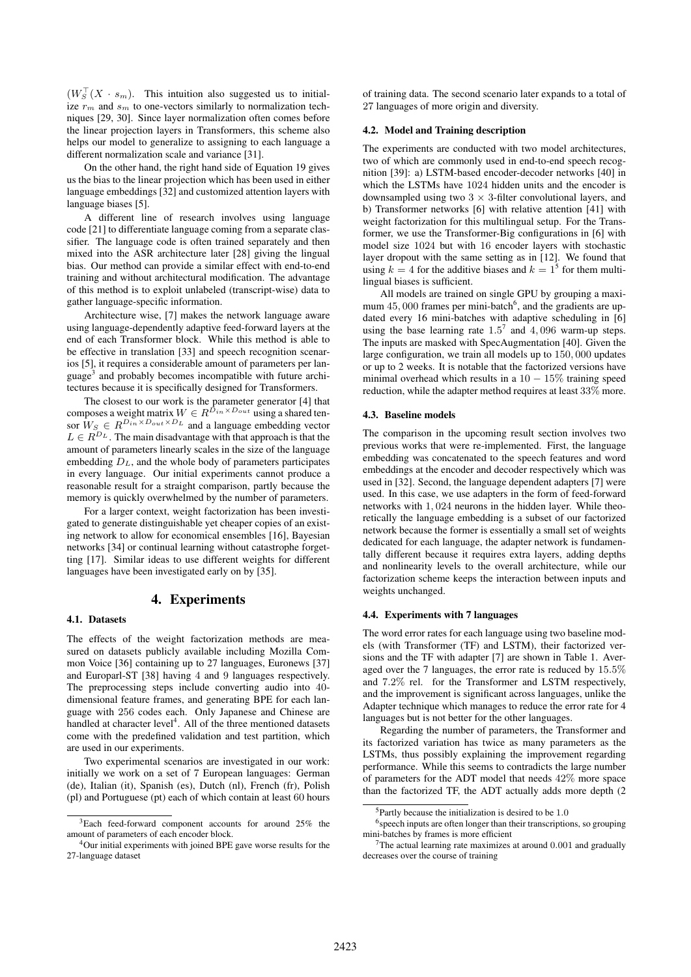$(W_S^{\top}(X \cdot s_m))$ . This intuition also suggested us to initialize  $r<sub>m</sub>$  and  $s<sub>m</sub>$  to one-vectors similarly to normalization techniques [29, 30]. Since layer normalization often comes before the linear projection layers in Transformers, this scheme also helps our model to generalize to assigning to each language a different normalization scale and variance [31].

On the other hand, the right hand side of Equation 19 gives us the bias to the linear projection which has been used in either language embeddings [32] and customized attention layers with language biases [5].

A different line of research involves using language code [21] to differentiate language coming from a separate classifier. The language code is often trained separately and then mixed into the ASR architecture later [28] giving the lingual bias. Our method can provide a similar effect with end-to-end training and without architectural modification. The advantage of this method is to exploit unlabeled (transcript-wise) data to gather language-specific information.

Architecture wise, [7] makes the network language aware using language-dependently adaptive feed-forward layers at the end of each Transformer block. While this method is able to be effective in translation [33] and speech recognition scenarios [5], it requires a considerable amount of parameters per language<sup>3</sup> and probably becomes incompatible with future architectures because it is specifically designed for Transformers.

The closest to our work is the parameter generator [4] that composes a weight matrix  $W \in R^{D_{in} \times D_{out}}$  using a shared tensor  $W_S \in R^{D_{in} \times D_{out} \times D_L}$  and a language embedding vector  $L \in R^{D_L}$ . The main disadvantage with that approach is that the amount of parameters linearly scales in the size of the language embedding  $D<sub>L</sub>$ , and the whole body of parameters participates in every language. Our initial experiments cannot produce a reasonable result for a straight comparison, partly because the memory is quickly overwhelmed by the number of parameters.

For a larger context, weight factorization has been investigated to generate distinguishable yet cheaper copies of an existing network to allow for economical ensembles [16], Bayesian networks [34] or continual learning without catastrophe forgetting [17]. Similar ideas to use different weights for different languages have been investigated early on by [35].

## 4. Experiments

#### 4.1. Datasets

The effects of the weight factorization methods are measured on datasets publicly available including Mozilla Common Voice [36] containing up to 27 languages, Euronews [37] and Europarl-ST [38] having 4 and 9 languages respectively. The preprocessing steps include converting audio into 40 dimensional feature frames, and generating BPE for each language with 256 codes each. Only Japanese and Chinese are handled at character level<sup>4</sup>. All of the three mentioned datasets come with the predefined validation and test partition, which are used in our experiments.

Two experimental scenarios are investigated in our work: initially we work on a set of 7 European languages: German (de), Italian (it), Spanish (es), Dutch (nl), French (fr), Polish (pl) and Portuguese (pt) each of which contain at least 60 hours of training data. The second scenario later expands to a total of 27 languages of more origin and diversity.

#### 4.2. Model and Training description

The experiments are conducted with two model architectures, two of which are commonly used in end-to-end speech recognition [39]: a) LSTM-based encoder-decoder networks [40] in which the LSTMs have 1024 hidden units and the encoder is downsampled using two  $3 \times 3$ -filter convolutional layers, and b) Transformer networks [6] with relative attention [41] with weight factorization for this multilingual setup. For the Transformer, we use the Transformer-Big configurations in [6] with model size 1024 but with 16 encoder layers with stochastic layer dropout with the same setting as in [12]. We found that using  $k = 4$  for the additive biases and  $k = 1^5$  for them multilingual biases is sufficient.

All models are trained on single GPU by grouping a maximum  $45,000$  frames per mini-batch<sup>6</sup>, and the gradients are updated every 16 mini-batches with adaptive scheduling in [6] using the base learning rate  $1.5^7$  and  $4,096$  warm-up steps. The inputs are masked with SpecAugmentation [40]. Given the large configuration, we train all models up to 150, 000 updates or up to 2 weeks. It is notable that the factorized versions have minimal overhead which results in a  $10 - 15\%$  training speed reduction, while the adapter method requires at least 33% more.

#### 4.3. Baseline models

The comparison in the upcoming result section involves two previous works that were re-implemented. First, the language embedding was concatenated to the speech features and word embeddings at the encoder and decoder respectively which was used in [32]. Second, the language dependent adapters [7] were used. In this case, we use adapters in the form of feed-forward networks with 1, 024 neurons in the hidden layer. While theoretically the language embedding is a subset of our factorized network because the former is essentially a small set of weights dedicated for each language, the adapter network is fundamentally different because it requires extra layers, adding depths and nonlinearity levels to the overall architecture, while our factorization scheme keeps the interaction between inputs and weights unchanged.

#### 4.4. Experiments with 7 languages

The word error rates for each language using two baseline models (with Transformer (TF) and LSTM), their factorized versions and the TF with adapter [7] are shown in Table 1. Averaged over the 7 languages, the error rate is reduced by 15.5% and 7.2% rel. for the Transformer and LSTM respectively, and the improvement is significant across languages, unlike the Adapter technique which manages to reduce the error rate for 4 languages but is not better for the other languages.

Regarding the number of parameters, the Transformer and its factorized variation has twice as many parameters as the LSTMs, thus possibly explaining the improvement regarding performance. While this seems to contradicts the large number of parameters for the ADT model that needs 42% more space than the factorized TF, the ADT actually adds more depth (2

<sup>3</sup>Each feed-forward component accounts for around 25% the amount of parameters of each encoder block.

<sup>4</sup>Our initial experiments with joined BPE gave worse results for the 27-language dataset

 $5$ Partly because the initialization is desired to be 1.0

<sup>&</sup>lt;sup>6</sup> speech inputs are often longer than their transcriptions, so grouping mini-batches by frames is more efficient

 $7$ The actual learning rate maximizes at around 0.001 and gradually decreases over the course of training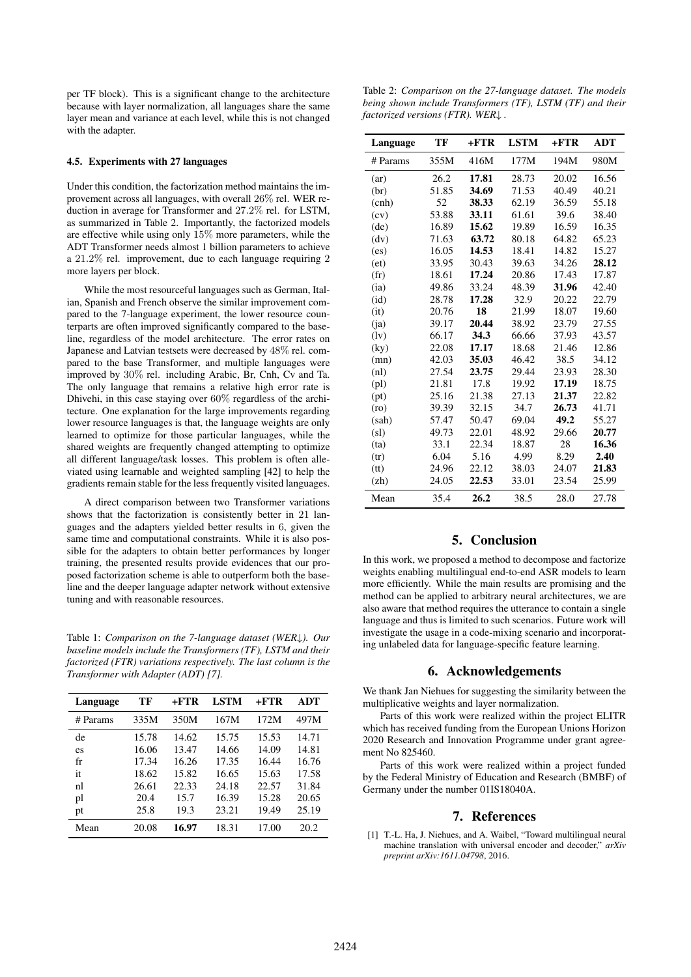per TF block). This is a significant change to the architecture because with layer normalization, all languages share the same layer mean and variance at each level, while this is not changed with the adapter.

### 4.5. Experiments with 27 languages

Under this condition, the factorization method maintains the improvement across all languages, with overall 26% rel. WER reduction in average for Transformer and 27.2% rel. for LSTM, as summarized in Table 2. Importantly, the factorized models are effective while using only 15% more parameters, while the ADT Transformer needs almost 1 billion parameters to achieve a 21.2% rel. improvement, due to each language requiring 2 more layers per block.

While the most resourceful languages such as German, Italian, Spanish and French observe the similar improvement compared to the 7-language experiment, the lower resource counterparts are often improved significantly compared to the baseline, regardless of the model architecture. The error rates on Japanese and Latvian testsets were decreased by 48% rel. compared to the base Transformer, and multiple languages were improved by 30% rel. including Arabic, Br, Cnh, Cv and Ta. The only language that remains a relative high error rate is Dhivehi, in this case staying over 60% regardless of the architecture. One explanation for the large improvements regarding lower resource languages is that, the language weights are only learned to optimize for those particular languages, while the shared weights are frequently changed attempting to optimize all different language/task losses. This problem is often alleviated using learnable and weighted sampling [42] to help the gradients remain stable for the less frequently visited languages.

A direct comparison between two Transformer variations shows that the factorization is consistently better in 21 languages and the adapters yielded better results in 6, given the same time and computational constraints. While it is also possible for the adapters to obtain better performances by longer training, the presented results provide evidences that our proposed factorization scheme is able to outperform both the baseline and the deeper language adapter network without extensive tuning and with reasonable resources.

Table 1: *Comparison on the 7-language dataset (WER*↓*). Our baseline models include the Transformers (TF), LSTM and their factorized (FTR) variations respectively. The last column is the Transformer with Adapter (ADT) [7].*

| Language | TF    | +FTR  | <b>LSTM</b> | $+FTR$ | <b>ADT</b> |
|----------|-------|-------|-------------|--------|------------|
| # Params | 335M  | 350M  | 167M        | 172M   | 497M       |
| de       | 15.78 | 14.62 | 15.75       | 15.53  | 14.71      |
| es       | 16.06 | 13.47 | 14.66       | 14.09  | 14.81      |
| fr       | 17.34 | 16.26 | 17.35       | 16.44  | 16.76      |
| it       | 18.62 | 15.82 | 16.65       | 15.63  | 17.58      |
| nl       | 26.61 | 22.33 | 24.18       | 22.57  | 31.84      |
| pl       | 20.4  | 15.7  | 16.39       | 15.28  | 20.65      |
| pt       | 25.8  | 19.3  | 23.21       | 19.49  | 25.19      |
| Mean     | 20.08 | 16.97 | 18.31       | 17.00  | 20.2       |

Table 2: *Comparison on the 27-language dataset. The models being shown include Transformers (TF), LSTM (TF) and their factorized versions (FTR). WER*↓ *.*

| Language                   | TF    | $+FTR$ | <b>LSTM</b> | $+FTR$ | ADT   |
|----------------------------|-------|--------|-------------|--------|-------|
| # Params                   | 355M  | 416M   | 177M        | 194M   | 980M  |
| (ar)                       | 26.2  | 17.81  | 28.73       | 20.02  | 16.56 |
| (br)                       | 51.85 | 34.69  | 71.53       | 40.49  | 40.21 |
| $(\text{cnh})$             | 52    | 38.33  | 62.19       | 36.59  | 55.18 |
| (cv)                       | 53.88 | 33.11  | 61.61       | 39.6   | 38.40 |
| (de)                       | 16.89 | 15.62  | 19.89       | 16.59  | 16.35 |
| (dv)                       | 71.63 | 63.72  | 80.18       | 64.82  | 65.23 |
| (es)                       | 16.05 | 14.53  | 18.41       | 14.82  | 15.27 |
| (et)                       | 33.95 | 30.43  | 39.63       | 34.26  | 28.12 |
| (f <sub>r</sub> )          | 18.61 | 17.24  | 20.86       | 17.43  | 17.87 |
| (ia)                       | 49.86 | 33.24  | 48.39       | 31.96  | 42.40 |
| (id)                       | 28.78 | 17.28  | 32.9        | 20.22  | 22.79 |
| (it)                       | 20.76 | 18     | 21.99       | 18.07  | 19.60 |
| (ia)                       | 39.17 | 20.44  | 38.92       | 23.79  | 27.55 |
| (1v)                       | 66.17 | 34.3   | 66.66       | 37.93  | 43.57 |
| (ky)                       | 22.08 | 17.17  | 18.68       | 21.46  | 12.86 |
| (mn)                       | 42.03 | 35.03  | 46.42       | 38.5   | 34.12 |
| (n!)                       | 27.54 | 23.75  | 29.44       | 23.93  | 28.30 |
| $\left( \text{pl} \right)$ | 21.81 | 17.8   | 19.92       | 17.19  | 18.75 |
| (pt)                       | 25.16 | 21.38  | 27.13       | 21.37  | 22.82 |
| (ro)                       | 39.39 | 32.15  | 34.7        | 26.73  | 41.71 |
| (sah)                      | 57.47 | 50.47  | 69.04       | 49.2   | 55.27 |
| (s)                        | 49.73 | 22.01  | 48.92       | 29.66  | 20.77 |
| (ta)                       | 33.1  | 22.34  | 18.87       | 28     | 16.36 |
| (tr)                       | 6.04  | 5.16   | 4.99        | 8.29   | 2.40  |
| (tt)                       | 24.96 | 22.12  | 38.03       | 24.07  | 21.83 |
| (zh)                       | 24.05 | 22.53  | 33.01       | 23.54  | 25.99 |
| Mean                       | 35.4  | 26.2   | 38.5        | 28.0   | 27.78 |

# 5. Conclusion

In this work, we proposed a method to decompose and factorize weights enabling multilingual end-to-end ASR models to learn more efficiently. While the main results are promising and the method can be applied to arbitrary neural architectures, we are also aware that method requires the utterance to contain a single language and thus is limited to such scenarios. Future work will investigate the usage in a code-mixing scenario and incorporating unlabeled data for language-specific feature learning.

### 6. Acknowledgements

We thank Jan Niehues for suggesting the similarity between the multiplicative weights and layer normalization.

Parts of this work were realized within the project ELITR which has received funding from the European Unions Horizon 2020 Research and Innovation Programme under grant agreement No 825460.

Parts of this work were realized within a project funded by the Federal Ministry of Education and Research (BMBF) of Germany under the number 01IS18040A.

### 7. References

[1] T.-L. Ha, J. Niehues, and A. Waibel, "Toward multilingual neural machine translation with universal encoder and decoder," *arXiv preprint arXiv:1611.04798*, 2016.